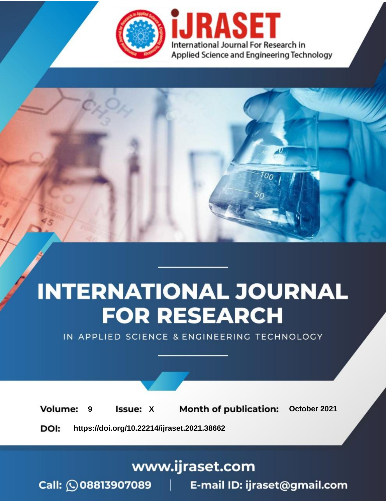

# **INTERNATIONAL JOURNAL FOR RESEARCH**

IN APPLIED SCIENCE & ENGINEERING TECHNOLOGY

**9 Issue:** X **Month of publication:** October 2021 **Volume:** 

**https://doi.org/10.22214/ijraset.2021.38662**DOI:

www.ijraset.com

Call: 008813907089 | E-mail ID: ijraset@gmail.com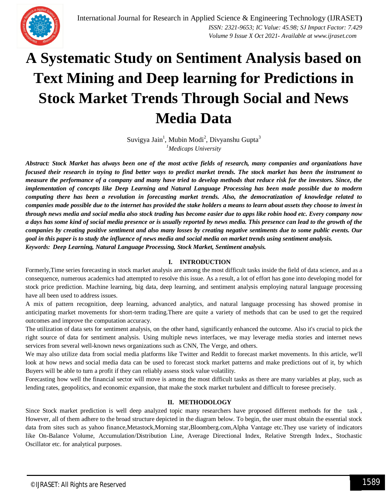# **A Systematic Study on Sentiment Analysis based on Text Mining and Deep learning for Predictions in Stock Market Trends Through Social and News Media Data**

Suvigya Jain<sup>1</sup>, Mubin Modi<sup>2</sup>, Divyanshu Gupta<sup>3</sup> *<sup>1</sup>Medicaps University*

*Abstract: Stock Market has always been one of the most active fields of research, many companies and organizations have focused their research in trying to find better ways to predict market trends. The stock market has been the instrument to measure the performance of a company and many have tried to develop methods that reduce risk for the investors. Since, the implementation of concepts like Deep Learning and Natural Language Processing has been made possible due to modern computing there has been a revolution in forecasting market trends. Also, the democratization of knowledge related to companies made possible due to the internet has provided the stake holders a means to learn about assets they choose to invest in through news media and social media also stock trading has become easier due to apps like robin hood etc. Every company now a days has some kind of social media presence or is usually reported by news media. This presence can lead to the growth of the companies by creating positive sentiment and also many losses by creating negative sentiments due to some public events. Our goal in this paper is to study the influence of news media and social media on market trends using sentiment analysis. Keywords: Deep Learning, Natural Language Processing, Stock Market, Sentiment analysis.*

## **I. INTRODUCTION**

Formerly,Time series forecasting in stock market analysis are among the most difficult tasks inside the field of data science, and as a consequence, numerous academics had attempted to resolve this issue. As a result, a lot of effort has gone into developing model for stock price prediction. Machine learning, big data, deep learning, and sentiment analysis employing natural language processing have all been used to address issues.

A mix of pattern recognition, deep learning, advanced analytics, and natural language processing has showed promise in anticipating market movements for short-term trading.There are quite a variety of methods that can be used to get the required outcomes and improve the computation accuracy.

The utilization of data sets for sentiment analysis, on the other hand, significantly enhanced the outcome. Also it's crucial to pick the right source of data for sentiment analysis. Using multiple news interfaces, we may leverage media stories and internet news services from several well-known news organizations such as CNN, The Verge, and others.

We may also utilize data from social media platforms like Twitter and Reddit to forecast market movements. In this article, we'll look at how news and social media data can be used to forecast stock market patterns and make predictions out of it, by which Buyers will be able to turn a profit if they can reliably assess stock value volatility.

Forecasting how well the financial sector will move is among the most difficult tasks as there are many variables at play, such as lending rates, geopolitics, and economic expansion, that make the stock market turbulent and difficult to foresee precisely.

#### **II. METHODOLOGY**

Since Stock market prediction is well deep analyzed topic many researchers have proposed different methods for the task , However, all of them adhere to the broad structure depicted in the diagram below. To begin, the user must obtain the essential stock data from sites such as yahoo finance,Metastock,Morning star,Bloomberg.com,Alpha Vantage etc.They use variety of indicators like On-Balance Volume, Accumulation/Distribution Line, Average Directional Index, Relative Strength Index., Stochastic Oscillator etc. for analytical purposes.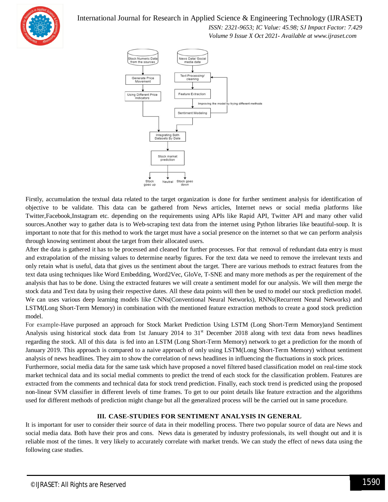

 *ISSN: 2321-9653; IC Value: 45.98; SJ Impact Factor: 7.429*

 *Volume 9 Issue X Oct 2021- Available at www.ijraset.com*



Firstly, accumulation the textual data related to the target organization is done for further sentiment analysis for identification of objective to be validate. This data can be gathered from News articles, Internet news or social media platforms like Twitter,Facebook,Instagram etc. depending on the requirements using APIs like Rapid API, Twitter API and many other valid sources.Another way to gather data is to Web-scraping text data from the internet using Python libraries like beautiful-soup. It is important to note that for this method to work the target must have a social presence on the internet so that we can perform analysis through knowing sentiment about the target from their allocated users.

After the data is gathered it has to be processed and cleaned for further processes. For that removal of redundant data entry is must and extrapolation of the missing values to determine nearby figures. For the text data we need to remove the irrelevant texts and only retain what is useful, data that gives us the sentiment about the target. There are various methods to extract features from the text data using techniques like Word Embedding, Word2Vec, GloVe, T-SNE and many more methods as per the requirement of the analysis that has to be done. Using the extracted features we will create a sentiment model for our analysis. We will then merge the stock data and Text data by using their respective dates. All these data points will then be used to model our stock prediction model. We can uses various deep learning models like CNNs(Conventional Neural Networks), RNNs(Recurrent Neural Networks) and LSTM(Long Short-Term Memory) in combination with the mentioned feature extraction methods to create a good stock prediction model.

For example-Have purposed an approach for Stock Market Prediction Using LSTM (Long Short-Term Memory)and Sentiment Analysis using historical stock data from 1st January 2014 to  $31<sup>st</sup>$  December 2018 along with text data from news headlines regarding the stock. All of this data is fed into an LSTM (Long Short-Term Memory) network to get a prediction for the month of January 2019. This approach is compared to a naive approach of only using LSTM(Long Short-Term Memory) without sentiment analysis of news headlines. They aim to show the correlation of news headlines in influencing the fluctuations in stock prices.

Furthermore, social media data for the same task which have proposed a novel filtered based classification model on real-time stock market technical data and its social medial comments to predict the trend of each stock for the classification problem. Features are extracted from the comments and technical data for stock trend prediction. Finally, each stock trend is predicted using the proposed non-linear SVM classifier in different levels of time frames. To get to our point details like feature extraction and the algorithms used for different methods of prediction might change but all the generalized process will be the carried out in same procedure.

## **III. CASE-STUDIES FOR SENTIMENT ANALYSIS IN GENERAL**

It is important for user to consider their source of data in their modelling process. There two popular source of data are News and social media data. Both have their pros and cons. News data is generated by industry professionals, its well thought out and it is reliable most of the times. It very likely to accurately correlate with market trends. We can study the effect of news data using the following case studies.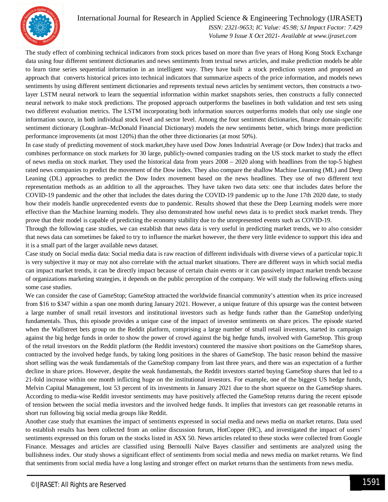

 *ISSN: 2321-9653; IC Value: 45.98; SJ Impact Factor: 7.429 Volume 9 Issue X Oct 2021- Available at www.ijraset.com*

The study effect of combining technical indicators from stock prices based on more than five years of Hong Kong Stock Exchange data using four different sentiment dictionaries and news sentiments from textual news articles, and make prediction models be able to learn time series sequential information in an intelligent way. They have built a stock prediction system and proposed an approach that converts historical prices into technical indicators that summarize aspects of the price information, and models news sentiments by using different sentiment dictionaries and represents textual news articles by sentiment vectors, then constructs a twolayer LSTM neural network to learn the sequential information within market snapshots series, then constructs a fully connected neural network to make stock predictions. The proposed approach outperforms the baselines in both validation and test sets using two different evaluation metrics. The LSTM incorporating both information sources outperforms models that only use single one information source, in both individual stock level and sector level. Among the four sentiment dictionaries, finance domain-specific sentiment dictionary (Loughran–McDonald Financial Dictionary) models the new sentiments better, which brings more prediction performance improvements (at most 120%) than the other three dictionaries (at most 50%).

In case study of predicting movement of stock market,they have used Dow Jones Industrial Average (or Dow Index) that tracks and combines performance on stock markets for 30 large, publicly-owned companies trading on the US stock market to study the effect of news media on stock market. They used the historical data from years 2008 – 2020 along with headlines from the top-5 highest rated news companies to predict the movement of the Dow index. They also compare the shallow Machine Learning (ML) and Deep Leaning (DL) approaches to predict the Dow Index movement based on the news headlines. They use of two different text representation methods as an addition to all the approaches. They have taken two data sets: one that includes dates before the COVID-19 pandemic and the other that includes the dates during the COVID-19 pandemic up to the June 17th 2020 date, to study how their models handle unprecedented events due to pandemic. Results showed that these the Deep Learning models were more effective than the Machine learning models. They also demonstrated how useful news data is to predict stock market trends. They prove that their model is capable of predicting the economy stability due to the unrepresented events such as COVID-19.

Through the following case studies, we can establish that news data is very useful in predicting market trends, we to also consider that news data can sometimes be faked to try to influence the market however, the there very little evidence to support this idea and it is a small part of the larger available news dataset.

Case study on Social media data: Social media data is raw reaction of different individuals with diverse views of a particular topic.It is very subjective it may or may not also correlate with the actual market situations. There are different ways in which social media can impact market trends, it can be directly impact because of certain chain events or it can passively impact market trends because of organizations marketing strategies, it depends on the public perception of the company. We will study the following effects using some case studies.

We can consider the case of GameStop; GameStop attracted the worldwide financial community's attention when its price increased from \$16 to \$347 within a span one month during January 2021. However, a unique feature of this upsurge was the contest between a large number of small retail investors and institutional investors such as hedge funds rather than the GameStop underlying fundamentals. Thus, this episode provides a unique case of the impact of investor sentiments on share prices. The episode started when the Wallstreet bets group on the Reddit platform, comprising a large number of small retail investors, started its campaign against the big hedge funds in order to show the power of crowd against the big hedge funds, involved with GameStop. This group of the retail investors on the Reddit platform (the Reddit investors) countered the massive short positions on the GameStop shares, contracted by the involved hedge funds, by taking long positions in the shares of GameStop. The basic reason behind the massive short selling was the weak fundamentals of the GameStop company from last three years, and there was an expectation of a further decline in share prices. However, despite the weak fundamentals, the Reddit investors started buying GameStop shares that led to a 21-fold increase within one month inflicting huge on the institutional investors. For example, one of the biggest US hedge funds, Melvin Capital Management, lost 53 percent of its investments in January 2021 due to the short squeeze on the GameStop shares. According to media-wise Reddit investor sentiments may have positively affected the GameStop returns during the recent episode of tension between the social media investors and the involved hedge funds. It implies that investors can get reasonable returns in short run following big social media groups like Reddit.

Another case study that examines the impact of sentiments expressed in social media and news media on market returns. Data used to establish results has been collected from an online discussion forum, HotCopper (HC), and investigated the impact of users' sentiments expressed on this forum on the stocks listed in ASX 50. News articles related to these stocks were collected from Google Finance. Messages and articles are classified using Bernoulli Naïve Bayes classifier and sentiments are analyzed using the bullishness index. Our study shows a significant effect of sentiments from social media and news media on market returns. We find that sentiments from social media have a long lasting and stronger effect on market returns than the sentiments from news media.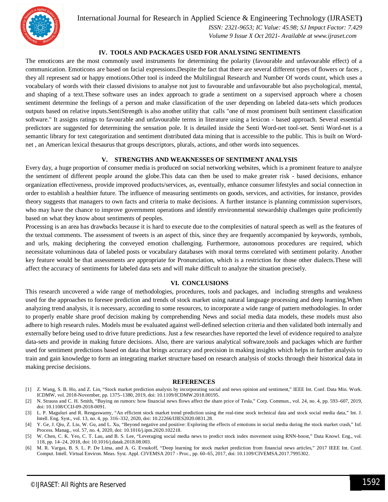

 *ISSN: 2321-9653; IC Value: 45.98; SJ Impact Factor: 7.429 Volume 9 Issue X Oct 2021- Available at www.ijraset.com*

#### **IV. TOOLS AND PACKAGES USED FOR ANALYSING SENTIMENTS**

The emoticons are the most commonly used instruments for determining the polarity (favourable and unfavourable effect) of a communication. Emoticons are based on facial expressions.Despite the fact that there are several different types of flowers or faces , they all represent sad or happy emotions.Other tool is indeed the Multilingual Research and Number Of words count, which uses a vocabulary of words with their classed divisions to analyse not just to favourable and unfavourable but also psychological, mental, and shaping of a text.These software uses an index approach to grade a sentiment on a supervised approach where a chosen sentiment determine the feelings of a person and make classification of the user depending on labeled data-sets which produces outputs based on relative inputs.SentiStrength is also another utility that calls "one of most prominent built sentiment classification software." It assigns ratings to favourable and unfavourable terms in literature using a lexicon - based approach. Several essential predictors are suggested for determining the sensation pole. It is detailed inside the Senti Word-net tool-set. Senti Word-net is a semantic library for text categorization and sentiment distributed data mining that is accessible to the public. This is built on Wordnet , an American lexical thesaurus that groups descriptors, plurals, actions, and other words into sequences.

#### **V. STRENGTHS AND WEAKNESSES OF SENTIMENT ANALYSIS**

Every day, a huge proportion of consumer media is produced on social networking websites, which is a prominent feature to analyze the sentiment of different people around the globe.This data can then be used to make greater risk - based decisions, enhance organization effectiveness, provide improved products/services, as, eventually, enhance consumer lifestyles and social connection in order to establish a healthier future. The influence of measuring sentiments on goods, services, and activities, for instance, provides theory suggests that managers to own facts and criteria to make decisions. A further instance is planning commission supervisors, who may have the chance to improve government operations and identify environmental stewardship challenges quite proficiently based on what they know about sentiments of peoples.

Processing is an area has drawbacks because it is hard to execute due to the complexities of natural speech as well as the features of the textual comments. The assessment of tweets is an aspect of this, since they are frequently accompanied by keywords, symbols, and urls, making deciphering the conveyed emotion challenging. Furthermore, autonomous procedures are required, which necessitate voluminous data of labeled posts or vocabulary databases with moral terms correlated with sentiment polarity. Another key feature would be that assessments are appropriate for Pronunciation, which is a restriction for those other dialects.These will affect the accuracy of sentiments for labeled data sets and will make difficult to analyze the situation precisely.

#### **VI. CONCLUSIONS**

This research uncovered a wide range of methodologies, procedures, tools and packages, and including strengths and weakness used for the approaches to foresee prediction and trends of stock market using natural language processing and deep learning.When analyzing trend analysis, it is necessary, according to some resources, to incorporate a wide range of pattern methodologies. In order to properly enable share proof decision making by comprehending News and social media data models, these models must also adhere to high research rules. Models must be evaluated against well-defined selection criteria and then validated both internally and externally before being used to drive future predictions. Just a few researches have reported the level of evidence required to analyze data-sets and provide in making future decisions. Also, there are various analytical software,tools and packages which are further used for sentiment predictions based on data that brings accuracy and precision in making insights which helps in further analysis to train and gain knowledge to form an integrating market structure based on research analysis of stocks through their historical data in making precise decisions.

#### **REFERENCES**

- [1] Z. Wang, S. B. Ho, and Z. Lin, "Stock market prediction analysis by incorporating social and news opinion and sentiment," IEEE Int. Conf. Data Min. Work. ICDMW, vol. 2018-November, pp. 1375–1380, 2019, doi: 10.1109/ICDMW.2018.00195.
- [2] N. Strauss and C. H. Smith, "Buying on rumors: how financial news flows affect the share price of Tesla," Corp. Commun., vol. 24, no. 4, pp. 593–607, 2019, doi: 10.1108/CCIJ-09-2018-0091.

[3] L. P. Maguluri and R. Rengaswamy, "An efficient stock market trend prediction using the real-time stock technical data and stock social media data," Int. J. Intell. Eng. Syst., vol. 13, no. 4, pp. 316–332, 2020, doi: 10.22266/IJIES2020.0831.28.

<sup>[4]</sup> Y. Ge, J. Qiu, Z. Liu, W. Gu, and L. Xu, "Beyond negative and positive: Exploring the effects of emotions in social media during the stock market crash," Inf. Process. Manag., vol. 57, no. 4, 2020, doi: 10.1016/j.ipm.2020.102218.

<sup>[5]</sup> W. Chen, C. K. Yeo, C. T. Lau, and B. S. Lee, "Leveraging social media news to predict stock index movement using RNN-boost," Data Knowl. Eng., vol. 118, pp. 14–24, 2018, doi: 10.1016/j.datak.2018.08.003.

<sup>[6]</sup> M. R. Vargas, B. S. L. P. De Lima, and A. G. Evsukoff, "Deep learning for stock market prediction from financial news articles," 2017 IEEE Int. Conf. Comput. Intell. Virtual Environ. Meas. Syst. Appl. CIVEMSA 2017 - Proc., pp. 60–65, 2017, doi: 10.1109/CIVEMSA.2017.7995302.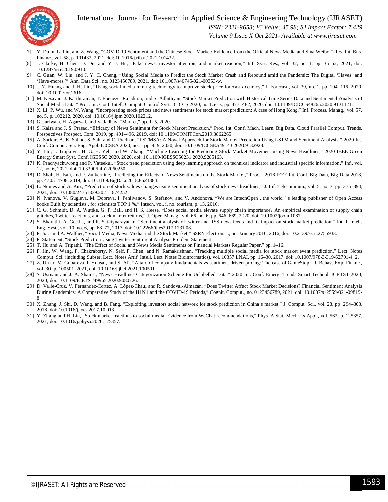

 *ISSN: 2321-9653; IC Value: 45.98; SJ Impact Factor: 7.429*

 *Volume 9 Issue X Oct 2021- Available at www.ijraset.com*

- [7] Y. Duan, L. Liu, and Z. Wang, "COVID-19 Sentiment and the Chinese Stock Market: Evidence from the Official News Media and Sina Weibo," Res. Int. Bus. Financ., vol. 58, p. 101432, 2021, doi: 10.1016/j.ribaf.2021.101432.
- [8] J. Clarke, H. Chen, D. Du, and Y. J. Hu, "Fake news, investor attention, and market reaction," Inf. Syst. Res., vol. 32, no. 1, pp. 35–52, 2021, doi: 10.1287/isre.2019.0910.
- [9] C. Guan, W. Liu, and J. Y. C. Cheng, "Using Social Media to Predict the Stock Market Crash and Rebound amid the Pandemic: The Digital 'Haves' and 'Have-mores,'" Ann. Data Sci., no. 0123456789, 2021, doi: 10.1007/s40745-021-00353-w.
- [10] J. Y. Huang and J. H. Liu, "Using social media mining technology to improve stock price forecast accuracy," J. Forecast., vol. 39, no. 1, pp. 104–116, 2020, doi: 10.1002/for.2616.
- [11] M. Kesavan, J. Karthiraman, T. Ebenezer Rajadurai, and S. Adhithyan, "Stock Market Prediction with Historical Time Series Data and Sentimental Analysis of Social Media Data," Proc. Int. Conf. Intell. Comput. Control Syst. ICICCS 2020, no. Iciccs, pp. 477–482, 2020, doi: 10.1109/ICICCS48265.2020.9121121.
- [12] X. Li, P. Wu, and W. Wang, "Incorporating stock prices and news sentiments for stock market prediction: A case of Hong Kong," Inf. Process. Manag., vol. 57, no. 5, p. 102212, 2020, doi: 10.1016/j.ipm.2020.102212.
- [13] G. Jariwala, H. Agarwal, and V. Jadhav, "Market," pp. 1–5, 2020.
- [14] S. Kalra and J. S. Prasad, "Efficacy of News Sentiment for Stock Market Prediction," Proc. Int. Conf. Mach. Learn. Big Data, Cloud Parallel Comput. Trends, Prespectives Prospect. Com. 2019, pp. 491–496, 2019, doi: 10.1109/COMITCon.2019.8862265.
- [15] A. Sarkar, A. K. Sahoo, S. Sah, and C. Pradhan, "LSTMSA: A Novel Approach for Stock Market Prediction Using LSTM and Sentiment Analysis," 2020 Int. Conf. Comput. Sci. Eng. Appl. ICCSEA 2020, no. i, pp. 4–9, 2020, doi: 10.1109/ICCSEA49143.2020.9132928.
- [16] Y. Liu, J. Trajkovic, H. G. H. Yeh, and W. Zhang, "Machine Learning for Predicting Stock Market Movement using News Headlines," 2020 IEEE Green Energy Smart Syst. Conf. IGESSC 2020, 2020, doi: 10.1109/IGESSC50231.2020.9285163.
- K. Prachyachuwong and P. Vateekul, "Stock trend prediction using deep learning approach on technical indicator and industrial specific information," Inf., vol. 12, no. 6, 2021, doi: 10.3390/info12060250.
- [18] D. Shah, H. Isah, and F. Zulkernine, "Predicting the Effects of News Sentiments on the Stock Market," Proc. 2018 IEEE Int. Conf. Big Data, Big Data 2018, pp. 4705–4708, 2019, doi: 10.1109/BigData.2018.8621884.
- [19] L. Nemes and A. Kiss, "Prediction of stock values changes using sentiment analysis of stock news headlines," J. Inf. Telecommun., vol. 5, no. 3, pp. 375–394, 2021, doi: 10.1080/24751839.2021.1874252.
- [20] N. Ivanova, V. Gugleva, M. Dobreva, I. Pehlivanov, S. Stefanov, and V. Andonova, "We are IntechOpen , the world ' s leading publisher of Open Access books Built by scientists , for scientists TOP 1 %," Intech, vol. i, no. tourism, p. 13, 2016.
- [21] C. G. Schmidt, D. A. Wuttke, G. P. Ball, and H. S. Heese, "Does social media elevate supply chain importance? An empirical examination of supply chain glitches, Twitter reactions, and stock market returns," J. Oper. Manag., vol. 66, no. 6, pp. 646–669, 2020, doi: 10.1002/joom.1087.
- [22] S. Bharathi, A. Geetha, and R. Sathiynarayanan, "Sentiment analysis of twitter and RSS news feeds and its impact on stock market prediction," Int. J. Intell. Eng. Syst., vol. 10, no. 6, pp. 68–77, 2017, doi: 10.22266/ijies2017.1231.08.
- [23] P. Jiao and A. Walther, "Social Media, News Media and the Stock Market," SSRN Electron. J., no. January 2016, 2016, doi: 10.2139/ssrn.2755933.
- [24] P. Statement, "Stock Prediction Using Twitter Sentiment Analysis Problem Statement."
- [25] T. Hu and A. Tripathi, "The Effect of Social and News Media Sentiments on Financial Markets Regular Paper," pp. 1–16.
- [26] F. Jin, W. Wang, P. Chakraborty, N. Self, F. Chen, and N. Ramakrishnan, "Tracking multiple social media for stock market event prediction," Lect. Notes Comput. Sci. (including Subser. Lect. Notes Artif. Intell. Lect. Notes Bioinformatics), vol. 10357 LNAI, pp. 16–30, 2017, doi: 10.1007/978-3-319-62701-4\_2.
- [27] Z. Umar, M. Gubareva, I. Yousaf, and S. Ali, "A tale of company fundamentals vs sentiment driven pricing: The case of GameStop," J. Behav. Exp. Financ., vol. 30, p. 100501, 2021, doi: 10.1016/j.jbef.2021.100501
- [28] S. Usmani and J. A. Shamsi, "News Headlines Categorization Scheme for Unlabelled Data," 2020 Int. Conf. Emerg. Trends Smart Technol. ICETST 2020, 2020, doi: 10.1109/ICETST49965.2020.9080726.
- [29] D. Valle-Cruz, V. Fernandez-Cortez, A. López-Chau, and R. Sandoval-Almazán, "Does Twitter Affect Stock Market Decisions? Financial Sentiment Analysis During Pandemics: A Comparative Study of the H1N1 and the COVID-19 Periods," Cognit. Comput., no. 0123456789, 2021, doi: 10.1007/s12559-021-09819- 8.
- [30] X. Zhang, J. Shi, D. Wang, and B. Fang, "Exploiting investors social network for stock prediction in China's market," J. Comput. Sci., vol. 28, pp. 294–303, 2018, doi: 10.1016/j.jocs.2017.10.013.
- [31] Y. Zhang and H. Liu, "Stock market reactions to social media: Evidence from WeChat recommendations," Phys. A Stat. Mech. its Appl., vol. 562, p. 125357, 2021, doi: 10.1016/j.physa.2020.125357.